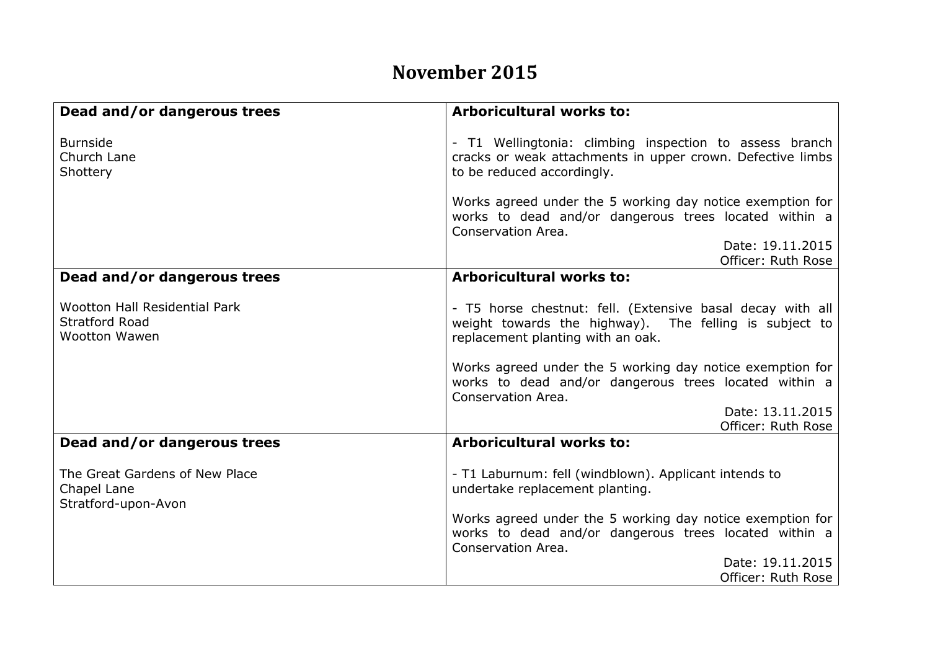## **November 2015**

| Dead and/or dangerous trees                                                           | <b>Arboricultural works to:</b>                                                                                                                           |
|---------------------------------------------------------------------------------------|-----------------------------------------------------------------------------------------------------------------------------------------------------------|
| <b>Burnside</b><br>Church Lane<br>Shottery                                            | - T1 Wellingtonia: climbing inspection to assess branch<br>cracks or weak attachments in upper crown. Defective limbs<br>to be reduced accordingly.       |
|                                                                                       | Works agreed under the 5 working day notice exemption for<br>works to dead and/or dangerous trees located within a<br>Conservation Area.                  |
|                                                                                       | Date: 19.11.2015                                                                                                                                          |
|                                                                                       | Officer: Ruth Rose                                                                                                                                        |
| Dead and/or dangerous trees                                                           | <b>Arboricultural works to:</b>                                                                                                                           |
|                                                                                       |                                                                                                                                                           |
| <b>Wootton Hall Residential Park</b><br><b>Stratford Road</b><br><b>Wootton Wawen</b> | - T5 horse chestnut: fell. (Extensive basal decay with all<br>weight towards the highway). The felling is subject to<br>replacement planting with an oak. |
|                                                                                       | Works agreed under the 5 working day notice exemption for<br>works to dead and/or dangerous trees located within a<br>Conservation Area.                  |
|                                                                                       | Date: 13.11.2015                                                                                                                                          |
|                                                                                       | Officer: Ruth Rose                                                                                                                                        |
| Dead and/or dangerous trees                                                           | Arboricultural works to:                                                                                                                                  |
| The Great Gardens of New Place<br>Chapel Lane<br>Stratford-upon-Avon                  | - T1 Laburnum: fell (windblown). Applicant intends to<br>undertake replacement planting.                                                                  |
|                                                                                       | Works agreed under the 5 working day notice exemption for<br>works to dead and/or dangerous trees located within a<br>Conservation Area.                  |
|                                                                                       | Date: 19.11.2015                                                                                                                                          |
|                                                                                       | Officer: Ruth Rose                                                                                                                                        |